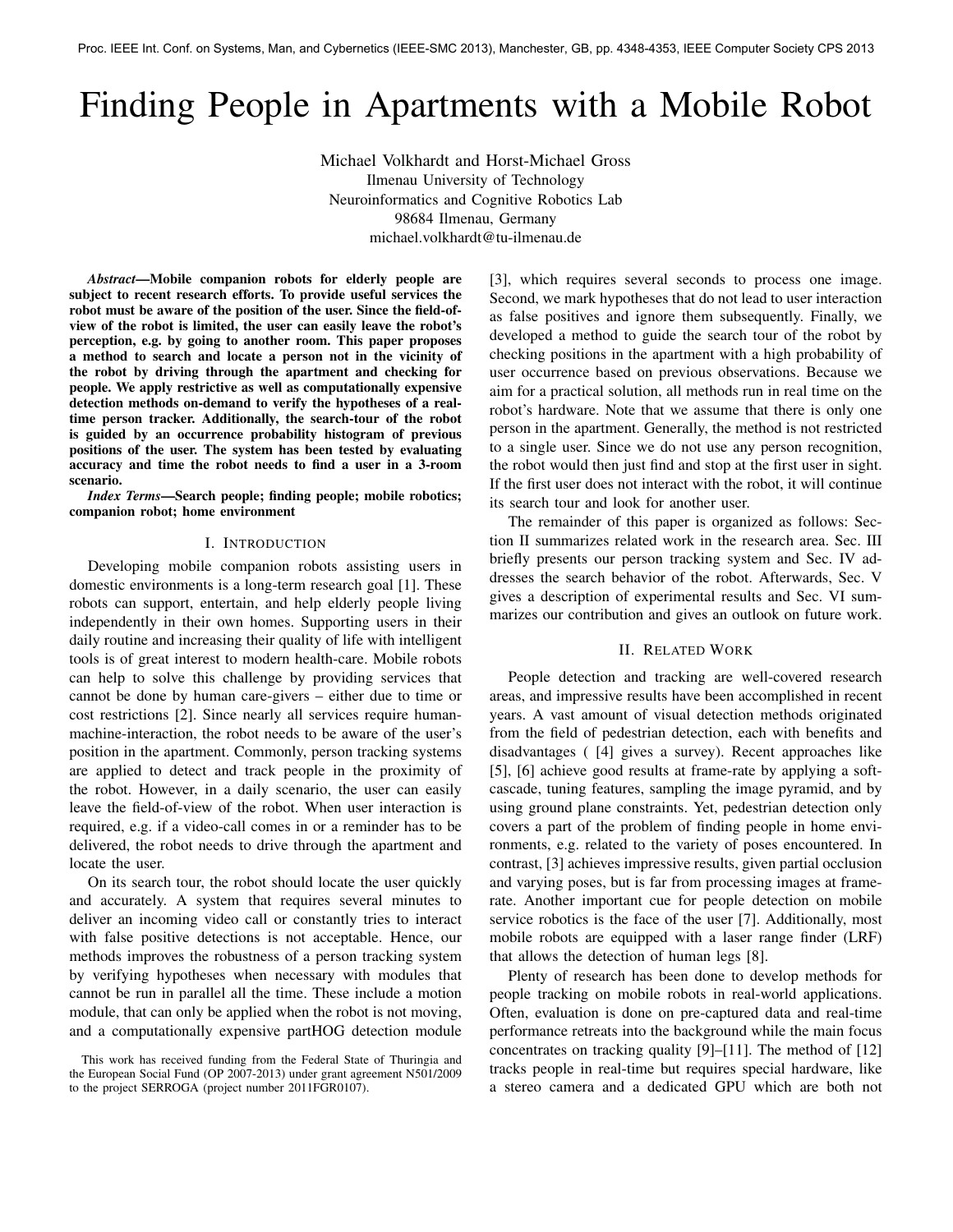# Finding People in Apartments with a Mobile Robot

Michael Volkhardt and Horst-Michael Gross Ilmenau University of Technology Neuroinformatics and Cognitive Robotics Lab 98684 Ilmenau, Germany michael.volkhardt@tu-ilmenau.de

*Abstract*—Mobile companion robots for elderly people are subject to recent research efforts. To provide useful services the robot must be aware of the position of the user. Since the field-ofview of the robot is limited, the user can easily leave the robot's perception, e.g. by going to another room. This paper proposes a method to search and locate a person not in the vicinity of the robot by driving through the apartment and checking for people. We apply restrictive as well as computationally expensive detection methods on-demand to verify the hypotheses of a realtime person tracker. Additionally, the search-tour of the robot is guided by an occurrence probability histogram of previous positions of the user. The system has been tested by evaluating accuracy and time the robot needs to find a user in a 3-room scenario.

*Index Terms*—Search people; finding people; mobile robotics; companion robot; home environment

#### I. INTRODUCTION

Developing mobile companion robots assisting users in domestic environments is a long-term research goal [1]. These robots can support, entertain, and help elderly people living independently in their own homes. Supporting users in their daily routine and increasing their quality of life with intelligent tools is of great interest to modern health-care. Mobile robots can help to solve this challenge by providing services that cannot be done by human care-givers – either due to time or cost restrictions [2]. Since nearly all services require humanmachine-interaction, the robot needs to be aware of the user's position in the apartment. Commonly, person tracking systems are applied to detect and track people in the proximity of the robot. However, in a daily scenario, the user can easily leave the field-of-view of the robot. When user interaction is required, e.g. if a video-call comes in or a reminder has to be delivered, the robot needs to drive through the apartment and locate the user.

On its search tour, the robot should locate the user quickly and accurately. A system that requires several minutes to deliver an incoming video call or constantly tries to interact with false positive detections is not acceptable. Hence, our methods improves the robustness of a person tracking system by verifying hypotheses when necessary with modules that cannot be run in parallel all the time. These include a motion module, that can only be applied when the robot is not moving, and a computationally expensive partHOG detection module [3], which requires several seconds to process one image. Second, we mark hypotheses that do not lead to user interaction as false positives and ignore them subsequently. Finally, we developed a method to guide the search tour of the robot by checking positions in the apartment with a high probability of user occurrence based on previous observations. Because we aim for a practical solution, all methods run in real time on the robot's hardware. Note that we assume that there is only one person in the apartment. Generally, the method is not restricted to a single user. Since we do not use any person recognition, the robot would then just find and stop at the first user in sight. If the first user does not interact with the robot, it will continue its search tour and look for another user.

The remainder of this paper is organized as follows: Section II summarizes related work in the research area. Sec. III briefly presents our person tracking system and Sec. IV addresses the search behavior of the robot. Afterwards, Sec. V gives a description of experimental results and Sec. VI summarizes our contribution and gives an outlook on future work.

# II. RELATED WORK

People detection and tracking are well-covered research areas, and impressive results have been accomplished in recent years. A vast amount of visual detection methods originated from the field of pedestrian detection, each with benefits and disadvantages ( [4] gives a survey). Recent approaches like [5], [6] achieve good results at frame-rate by applying a softcascade, tuning features, sampling the image pyramid, and by using ground plane constraints. Yet, pedestrian detection only covers a part of the problem of finding people in home environments, e.g. related to the variety of poses encountered. In contrast, [3] achieves impressive results, given partial occlusion and varying poses, but is far from processing images at framerate. Another important cue for people detection on mobile service robotics is the face of the user [7]. Additionally, most mobile robots are equipped with a laser range finder (LRF) that allows the detection of human legs [8].

Plenty of research has been done to develop methods for people tracking on mobile robots in real-world applications. Often, evaluation is done on pre-captured data and real-time performance retreats into the background while the main focus concentrates on tracking quality [9]–[11]. The method of [12] tracks people in real-time but requires special hardware, like a stereo camera and a dedicated GPU which are both not

This work has received funding from the Federal State of Thuringia and the European Social Fund (OP 2007-2013) under grant agreement N501/2009 to the project SERROGA (project number 2011FGR0107).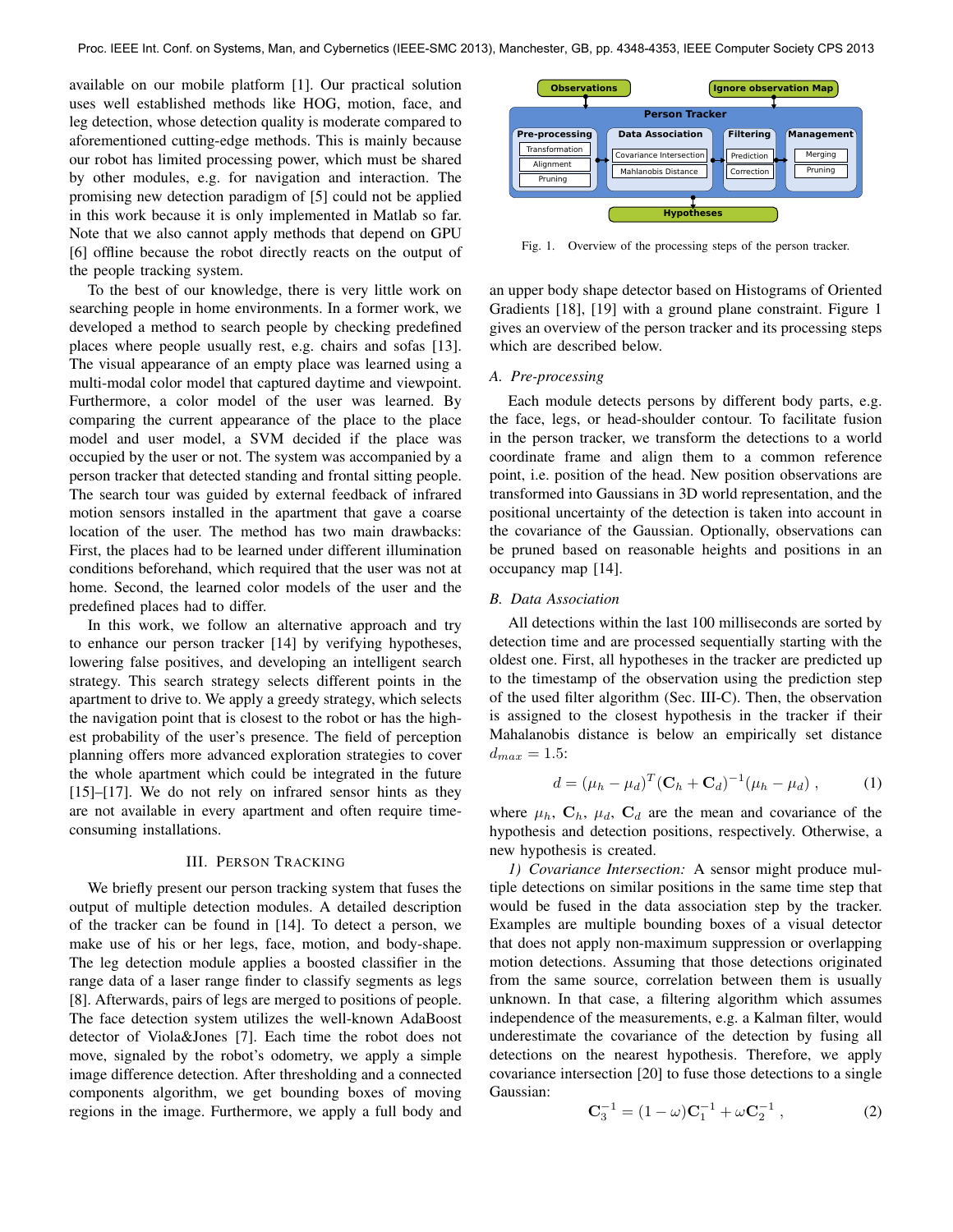available on our mobile platform [1]. Our practical solution uses well established methods like HOG, motion, face, and leg detection, whose detection quality is moderate compared to aforementioned cutting-edge methods. This is mainly because our robot has limited processing power, which must be shared by other modules, e.g. for navigation and interaction. The promising new detection paradigm of [5] could not be applied in this work because it is only implemented in Matlab so far. Note that we also cannot apply methods that depend on GPU [6] offline because the robot directly reacts on the output of the people tracking system.

To the best of our knowledge, there is very little work on searching people in home environments. In a former work, we developed a method to search people by checking predefined places where people usually rest, e.g. chairs and sofas [13]. The visual appearance of an empty place was learned using a multi-modal color model that captured daytime and viewpoint. Furthermore, a color model of the user was learned. By comparing the current appearance of the place to the place model and user model, a SVM decided if the place was occupied by the user or not. The system was accompanied by a person tracker that detected standing and frontal sitting people. The search tour was guided by external feedback of infrared motion sensors installed in the apartment that gave a coarse location of the user. The method has two main drawbacks: First, the places had to be learned under different illumination conditions beforehand, which required that the user was not at home. Second, the learned color models of the user and the predefined places had to differ.

In this work, we follow an alternative approach and try to enhance our person tracker [14] by verifying hypotheses, lowering false positives, and developing an intelligent search strategy. This search strategy selects different points in the apartment to drive to. We apply a greedy strategy, which selects the navigation point that is closest to the robot or has the highest probability of the user's presence. The field of perception planning offers more advanced exploration strategies to cover the whole apartment which could be integrated in the future [15]–[17]. We do not rely on infrared sensor hints as they are not available in every apartment and often require timeconsuming installations.

#### III. PERSON TRACKING

We briefly present our person tracking system that fuses the output of multiple detection modules. A detailed description of the tracker can be found in [14]. To detect a person, we make use of his or her legs, face, motion, and body-shape. The leg detection module applies a boosted classifier in the range data of a laser range finder to classify segments as legs [8]. Afterwards, pairs of legs are merged to positions of people. The face detection system utilizes the well-known AdaBoost detector of Viola&Jones [7]. Each time the robot does not move, signaled by the robot's odometry, we apply a simple image difference detection. After thresholding and a connected components algorithm, we get bounding boxes of moving regions in the image. Furthermore, we apply a full body and



Fig. 1. Overview of the processing steps of the person tracker.

an upper body shape detector based on Histograms of Oriented Gradients [18], [19] with a ground plane constraint. Figure 1 gives an overview of the person tracker and its processing steps which are described below.

# *A. Pre-processing*

Each module detects persons by different body parts, e.g. the face, legs, or head-shoulder contour. To facilitate fusion in the person tracker, we transform the detections to a world coordinate frame and align them to a common reference point, i.e. position of the head. New position observations are transformed into Gaussians in 3D world representation, and the positional uncertainty of the detection is taken into account in the covariance of the Gaussian. Optionally, observations can be pruned based on reasonable heights and positions in an occupancy map [14].

# *B. Data Association*

All detections within the last 100 milliseconds are sorted by detection time and are processed sequentially starting with the oldest one. First, all hypotheses in the tracker are predicted up to the timestamp of the observation using the prediction step of the used filter algorithm (Sec. III-C). Then, the observation is assigned to the closest hypothesis in the tracker if their Mahalanobis distance is below an empirically set distance  $d_{max} = 1.5$ :

$$
d = (\mu_h - \mu_d)^T (\mathbf{C}_h + \mathbf{C}_d)^{-1} (\mu_h - \mu_d) , \qquad (1)
$$

where  $\mu_h$ ,  $\mathbf{C}_h$ ,  $\mu_d$ ,  $\mathbf{C}_d$  are the mean and covariance of the hypothesis and detection positions, respectively. Otherwise, a new hypothesis is created.

*1) Covariance Intersection:* A sensor might produce multiple detections on similar positions in the same time step that would be fused in the data association step by the tracker. Examples are multiple bounding boxes of a visual detector that does not apply non-maximum suppression or overlapping motion detections. Assuming that those detections originated from the same source, correlation between them is usually unknown. In that case, a filtering algorithm which assumes independence of the measurements, e.g. a Kalman filter, would underestimate the covariance of the detection by fusing all detections on the nearest hypothesis. Therefore, we apply covariance intersection [20] to fuse those detections to a single Gaussian:

$$
\mathbf{C}_3^{-1} = (1 - \omega)\mathbf{C}_1^{-1} + \omega \mathbf{C}_2^{-1} , \qquad (2)
$$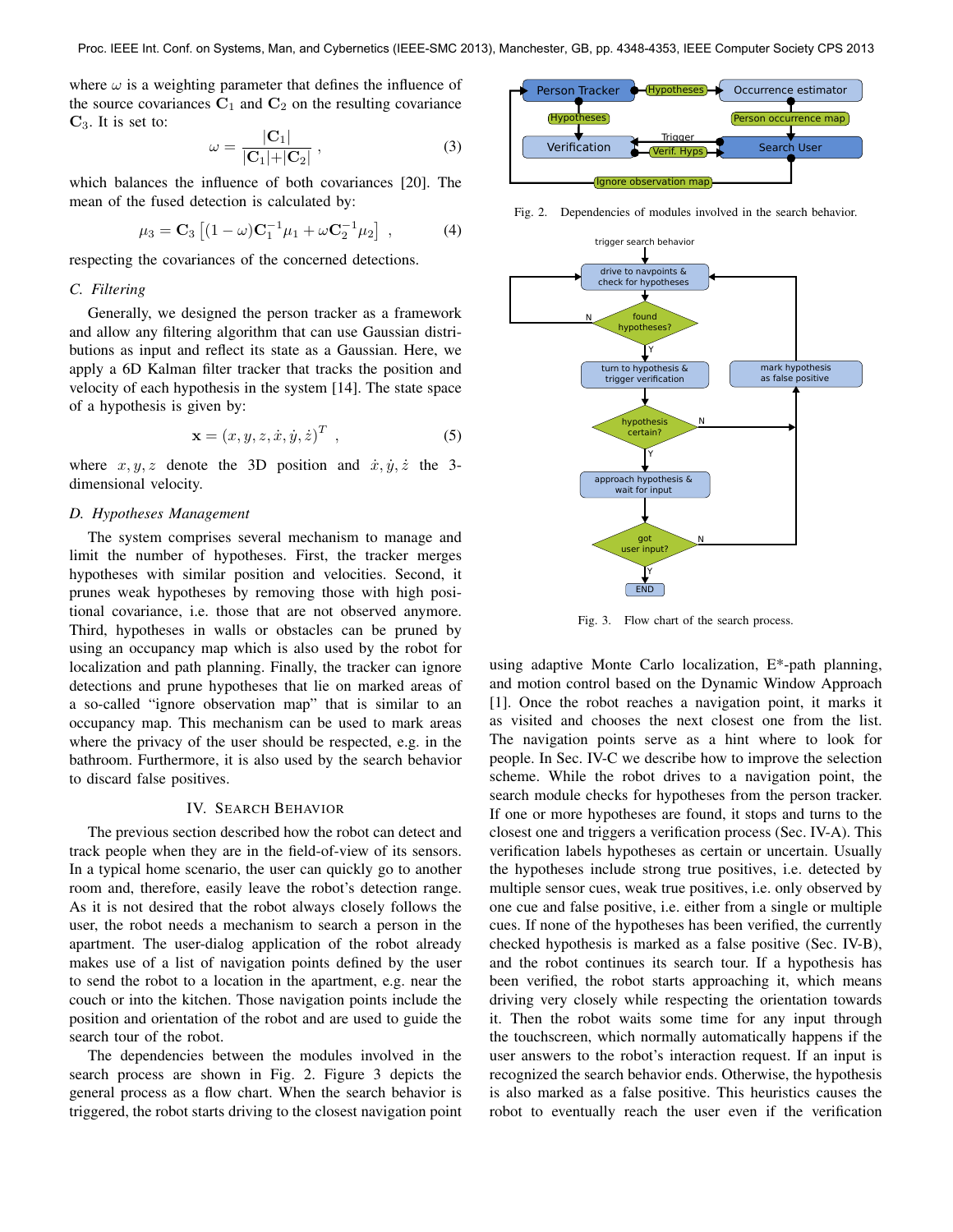where  $\omega$  is a weighting parameter that defines the influence of the source covariances  $C_1$  and  $C_2$  on the resulting covariance  $C_3$ . It is set to:  $\sim$ 

$$
\omega = \frac{|\mathbf{C}_1|}{|\mathbf{C}_1| + |\mathbf{C}_2|},\tag{3}
$$

which balances the influence of both covariances [20]. The mean of the fused detection is calculated by:

$$
\mu_3 = \mathbf{C}_3 \left[ (1 - \omega) \mathbf{C}_1^{-1} \mu_1 + \omega \mathbf{C}_2^{-1} \mu_2 \right] , \tag{4}
$$

respecting the covariances of the concerned detections.

#### *C. Filtering*

Generally, we designed the person tracker as a framework and allow any filtering algorithm that can use Gaussian distributions as input and reflect its state as a Gaussian. Here, we apply a 6D Kalman filter tracker that tracks the position and velocity of each hypothesis in the system [14]. The state space of a hypothesis is given by:

$$
\mathbf{x} = (x, y, z, \dot{x}, \dot{y}, \dot{z})^T , \qquad (5)
$$

where  $x, y, z$  denote the 3D position and  $\dot{x}, \dot{y}, \dot{z}$  the 3dimensional velocity.

# *D. Hypotheses Management*

The system comprises several mechanism to manage and limit the number of hypotheses. First, the tracker merges hypotheses with similar position and velocities. Second, it prunes weak hypotheses by removing those with high positional covariance, i.e. those that are not observed anymore. Third, hypotheses in walls or obstacles can be pruned by using an occupancy map which is also used by the robot for localization and path planning. Finally, the tracker can ignore detections and prune hypotheses that lie on marked areas of a so-called "ignore observation map" that is similar to an occupancy map. This mechanism can be used to mark areas where the privacy of the user should be respected, e.g. in the bathroom. Furthermore, it is also used by the search behavior to discard false positives.

#### IV. SEARCH BEHAVIOR

The previous section described how the robot can detect and track people when they are in the field-of-view of its sensors. In a typical home scenario, the user can quickly go to another room and, therefore, easily leave the robot's detection range. As it is not desired that the robot always closely follows the user, the robot needs a mechanism to search a person in the apartment. The user-dialog application of the robot already makes use of a list of navigation points defined by the user to send the robot to a location in the apartment, e.g. near the couch or into the kitchen. Those navigation points include the position and orientation of the robot and are used to guide the search tour of the robot.

The dependencies between the modules involved in the search process are shown in Fig. 2. Figure 3 depicts the general process as a flow chart. When the search behavior is



Fig. 2. Dependencies of modules involved in the search behavior.



Fig. 3. Flow chart of the search process.

which balances the robot starts of the robot starts driving to the rest of the robot starts and the robot starts depend to the robot starts depend to the robot starts depend to the robot starts of the content of the conte using adaptive Monte Carlo localization, E\*-path planning, and motion control based on the Dynamic Window Approach [1]. Once the robot reaches a navigation point, it marks it as visited and chooses the next closest one from the list. The navigation points serve as a hint where to look for people. In Sec. IV-C we describe how to improve the selection scheme. While the robot drives to a navigation point, the search module checks for hypotheses from the person tracker. If one or more hypotheses are found, it stops and turns to the closest one and triggers a verification process (Sec. IV-A). This verification labels hypotheses as certain or uncertain. Usually the hypotheses include strong true positives, i.e. detected by multiple sensor cues, weak true positives, i.e. only observed by one cue and false positive, i.e. either from a single or multiple cues. If none of the hypotheses has been verified, the currently checked hypothesis is marked as a false positive (Sec. IV-B), and the robot continues its search tour. If a hypothesis has been verified, the robot starts approaching it, which means driving very closely while respecting the orientation towards it. Then the robot waits some time for any input through the touchscreen, which normally automatically happens if the user answers to the robot's interaction request. If an input is recognized the search behavior ends. Otherwise, the hypothesis is also marked as a false positive. This heuristics causes the robot to eventually reach the user even if the verification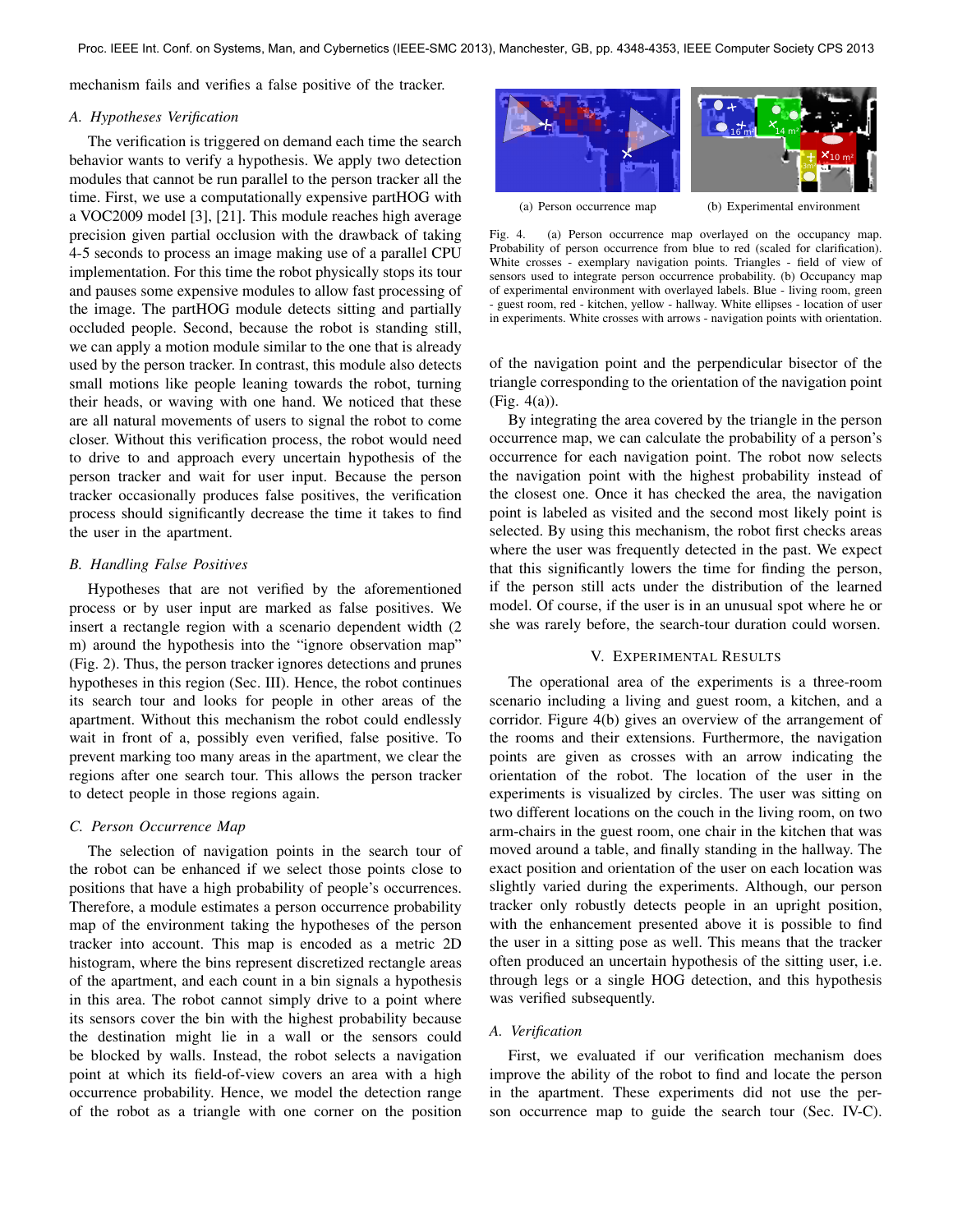mechanism fails and verifies a false positive of the tracker.

#### *A. Hypotheses Verification*

The verification is triggered on demand each time the search behavior wants to verify a hypothesis. We apply two detection modules that cannot be run parallel to the person tracker all the time. First, we use a computationally expensive partHOG with a VOC2009 model [3], [21]. This module reaches high average precision given partial occlusion with the drawback of taking 4-5 seconds to process an image making use of a parallel CPU implementation. For this time the robot physically stops its tour and pauses some expensive modules to allow fast processing of the image. The partHOG module detects sitting and partially occluded people. Second, because the robot is standing still, we can apply a motion module similar to the one that is already used by the person tracker. In contrast, this module also detects small motions like people leaning towards the robot, turning their heads, or waving with one hand. We noticed that these are all natural movements of users to signal the robot to come closer. Without this verification process, the robot would need to drive to and approach every uncertain hypothesis of the person tracker and wait for user input. Because the person tracker occasionally produces false positives, the verification process should significantly decrease the time it takes to find the user in the apartment.

### *B. Handling False Positives*

Hypotheses that are not verified by the aforementioned process or by user input are marked as false positives. We insert a rectangle region with a scenario dependent width (2 m) around the hypothesis into the "ignore observation map" (Fig. 2). Thus, the person tracker ignores detections and prunes hypotheses in this region (Sec. III). Hence, the robot continues its search tour and looks for people in other areas of the apartment. Without this mechanism the robot could endlessly wait in front of a, possibly even verified, false positive. To prevent marking too many areas in the apartment, we clear the regions after one search tour. This allows the person tracker to detect people in those regions again.

# *C. Person Occurrence Map*

The selection of navigation points in the search tour of the robot can be enhanced if we select those points close to positions that have a high probability of people's occurrences. Therefore, a module estimates a person occurrence probability map of the environment taking the hypotheses of the person tracker into account. This map is encoded as a metric 2D histogram, where the bins represent discretized rectangle areas of the apartment, and each count in a bin signals a hypothesis in this area. The robot cannot simply drive to a point where its sensors cover the bin with the highest probability because the destination might lie in a wall or the sensors could be blocked by walls. Instead, the robot selects a navigation point at which its field-of-view covers an area with a high occurrence probability. Hence, we model the detection range of the robot as a triangle with one corner on the position



(a) Person occurrence map

(b) Experimental environment

Fig. 4. (a) Person occurrence map overlayed on the occupancy map. Probability of person occurrence from blue to red (scaled for clarification). White crosses - exemplary navigation points. Triangles - field of view of sensors used to integrate person occurrence probability. (b) Occupancy map of experimental environment with overlayed labels. Blue - living room, green - guest room, red - kitchen, yellow - hallway. White ellipses - location of user in experiments. White crosses with arrows - navigation points with orientation.

of the navigation point and the perpendicular bisector of the triangle corresponding to the orientation of the navigation point (Fig. 4(a)).

By integrating the area covered by the triangle in the person occurrence map, we can calculate the probability of a person's occurrence for each navigation point. The robot now selects the navigation point with the highest probability instead of the closest one. Once it has checked the area, the navigation point is labeled as visited and the second most likely point is selected. By using this mechanism, the robot first checks areas where the user was frequently detected in the past. We expect that this significantly lowers the time for finding the person, if the person still acts under the distribution of the learned model. Of course, if the user is in an unusual spot where he or she was rarely before, the search-tour duration could worsen.

# V. EXPERIMENTAL RESULTS

The operational area of the experiments is a three-room scenario including a living and guest room, a kitchen, and a corridor. Figure 4(b) gives an overview of the arrangement of the rooms and their extensions. Furthermore, the navigation points are given as crosses with an arrow indicating the orientation of the robot. The location of the user in the experiments is visualized by circles. The user was sitting on two different locations on the couch in the living room, on two arm-chairs in the guest room, one chair in the kitchen that was moved around a table, and finally standing in the hallway. The exact position and orientation of the user on each location was slightly varied during the experiments. Although, our person tracker only robustly detects people in an upright position, with the enhancement presented above it is possible to find the user in a sitting pose as well. This means that the tracker often produced an uncertain hypothesis of the sitting user, i.e. through legs or a single HOG detection, and this hypothesis was verified subsequently.

# *A. Verification*

First, we evaluated if our verification mechanism does improve the ability of the robot to find and locate the person in the apartment. These experiments did not use the person occurrence map to guide the search tour (Sec. IV-C).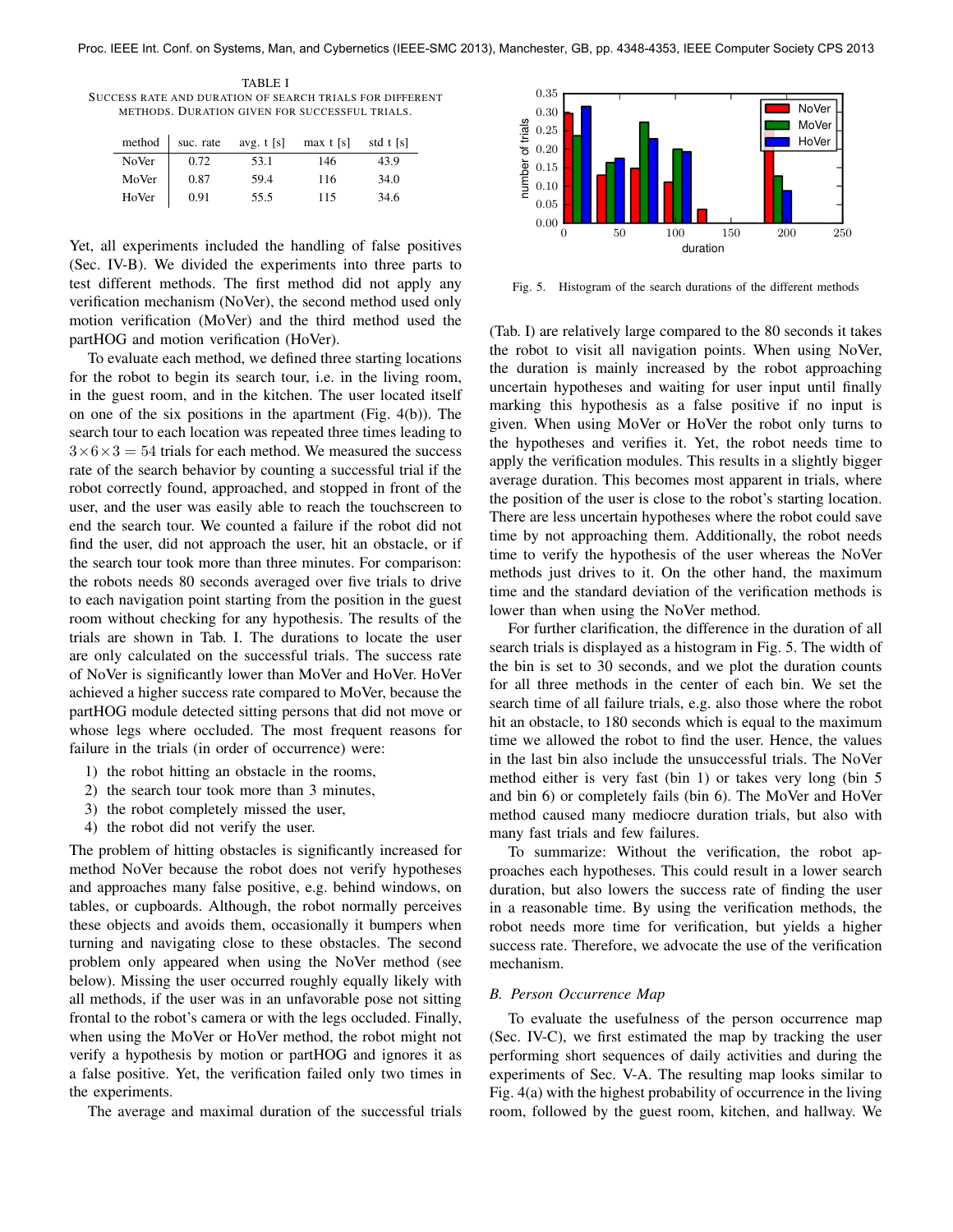TABLE I SUCCESS RATE AND DURATION OF SEARCH TRIALS FOR DIFFERENT METHODS. DURATION GIVEN FOR SUCCESSFUL TRIALS.

| method | suc. rate | avg. $t$ [s] | $max$ t [s] | std t [s] |
|--------|-----------|--------------|-------------|-----------|
| NoVer  | 0.72      | 53.1         | 146         | 43.9      |
| MoVer  | 0.87      | 59.4         | 116         | 34.0      |
| HoVer  | 0.91      | 55.5         | 115         | 34.6      |

Yet, all experiments included the handling of false positives (Sec. IV-B). We divided the experiments into three parts to test different methods. The first method did not apply any verification mechanism (NoVer), the second method used only motion verification (MoVer) and the third method used the partHOG and motion verification (HoVer).

To evaluate each method, we defined three starting locations for the robot to begin its search tour, i.e. in the living room, in the guest room, and in the kitchen. The user located itself on one of the six positions in the apartment (Fig. 4(b)). The search tour to each location was repeated three times leading to  $3\times6\times3=54$  trials for each method. We measured the success rate of the search behavior by counting a successful trial if the robot correctly found, approached, and stopped in front of the user, and the user was easily able to reach the touchscreen to end the search tour. We counted a failure if the robot did not find the user, did not approach the user, hit an obstacle, or if the search tour took more than three minutes. For comparison: the robots needs 80 seconds averaged over five trials to drive to each navigation point starting from the position in the guest room without checking for any hypothesis. The results of the trials are shown in Tab. I. The durations to locate the user are only calculated on the successful trials. The success rate of NoVer is significantly lower than MoVer and HoVer. HoVer achieved a higher success rate compared to MoVer, because the partHOG module detected sitting persons that did not move or whose legs where occluded. The most frequent reasons for failure in the trials (in order of occurrence) were:

- 1) the robot hitting an obstacle in the rooms,
- 2) the search tour took more than 3 minutes,
- 3) the robot completely missed the user,
- 4) the robot did not verify the user.

The problem of hitting obstacles is significantly increased for method NoVer because the robot does not verify hypotheses and approaches many false positive, e.g. behind windows, on tables, or cupboards. Although, the robot normally perceives these objects and avoids them, occasionally it bumpers when turning and navigating close to these obstacles. The second problem only appeared when using the NoVer method (see below). Missing the user occurred roughly equally likely with all methods, if the user was in an unfavorable pose not sitting frontal to the robot's camera or with the legs occluded. Finally, when using the MoVer or HoVer method, the robot might not verify a hypothesis by motion or partHOG and ignores it as a false positive. Yet, the verification failed only two times in the experiments.

The average and maximal duration of the successful trials



Fig. 5. Histogram of the search durations of the different methods

(Tab. I) are relatively large compared to the 80 seconds it takes the robot to visit all navigation points. When using NoVer, the duration is mainly increased by the robot approaching uncertain hypotheses and waiting for user input until finally marking this hypothesis as a false positive if no input is given. When using MoVer or HoVer the robot only turns to the hypotheses and verifies it. Yet, the robot needs time to apply the verification modules. This results in a slightly bigger average duration. This becomes most apparent in trials, where the position of the user is close to the robot's starting location. There are less uncertain hypotheses where the robot could save time by not approaching them. Additionally, the robot needs time to verify the hypothesis of the user whereas the NoVer methods just drives to it. On the other hand, the maximum time and the standard deviation of the verification methods is lower than when using the NoVer method.

For further clarification, the difference in the duration of all search trials is displayed as a histogram in Fig. 5. The width of the bin is set to 30 seconds, and we plot the duration counts for all three methods in the center of each bin. We set the search time of all failure trials, e.g. also those where the robot hit an obstacle, to 180 seconds which is equal to the maximum time we allowed the robot to find the user. Hence, the values in the last bin also include the unsuccessful trials. The NoVer method either is very fast (bin 1) or takes very long (bin 5 and bin 6) or completely fails (bin 6). The MoVer and HoVer method caused many mediocre duration trials, but also with many fast trials and few failures.

To summarize: Without the verification, the robot approaches each hypotheses. This could result in a lower search duration, but also lowers the success rate of finding the user in a reasonable time. By using the verification methods, the robot needs more time for verification, but yields a higher success rate. Therefore, we advocate the use of the verification mechanism.

# *B. Person Occurrence Map*

To evaluate the usefulness of the person occurrence map (Sec. IV-C), we first estimated the map by tracking the user performing short sequences of daily activities and during the experiments of Sec. V-A. The resulting map looks similar to Fig. 4(a) with the highest probability of occurrence in the living room, followed by the guest room, kitchen, and hallway. We